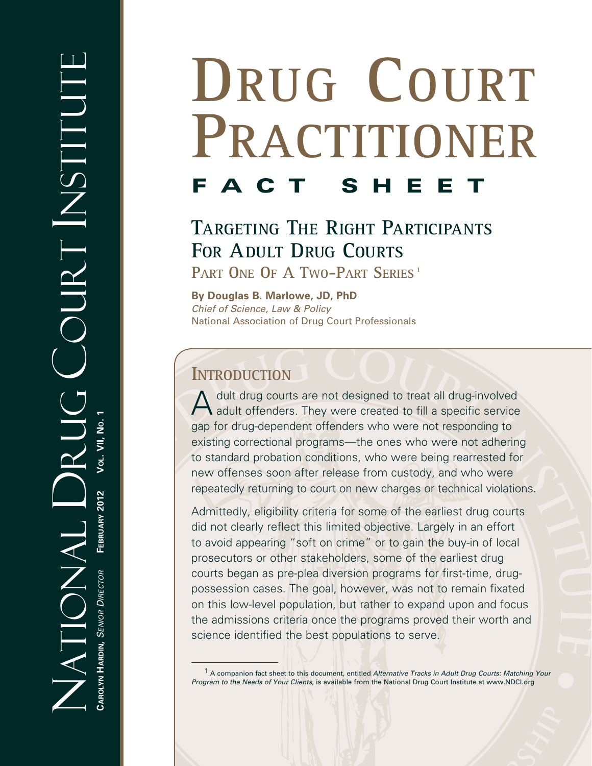# **DRUG COURT PRACTITIONER FACT SHE**

# **TARGETING THE RIGHT PARTICIPANTS FOR ADULT DRUG COURTS** PART ONE OF A TWO-PART SERIES<sup>1</sup>

**By Douglas B. Marlowe, JD, PhD** *Chief of Science, Law & Policy* National Association of Drug Court Professionals

## **INTRODUCTION**

A dult drug courts are not designed to treat all drug-involved  $\bigwedge$  adult offenders. They were created to fill a specific service gap for drug-dependent offenders who were not responding to existing correctional programs—the ones who were not adhering to standard probation conditions, who were being rearrested for new offenses soon after release from custody, and who were repeatedly returning to court on new charges or technical violations.

Admittedly, eligibility criteria for some of the earliest drug courts did not clearly reflect this limited objective. Largely in an effort to avoid appearing "soft on crime" or to gain the buy-in of local prosecutors or other stakeholders, some of the earliest drug courts began as pre-plea diversion programs for first-time, drugpossession cases. The goal, however, was not to remain fixated on this low-level population, but rather to expand upon and focus the admissions criteria once the programs proved their worth and science identified the best populations to serve.

<sup>1</sup> A companion fact sheet to this document, entitled *Alternative Tracks in Adult Drug Courts: Matching Your Program to the Needs of Your Clients*, is available from the National Drug Court Institute at www.NDCI.org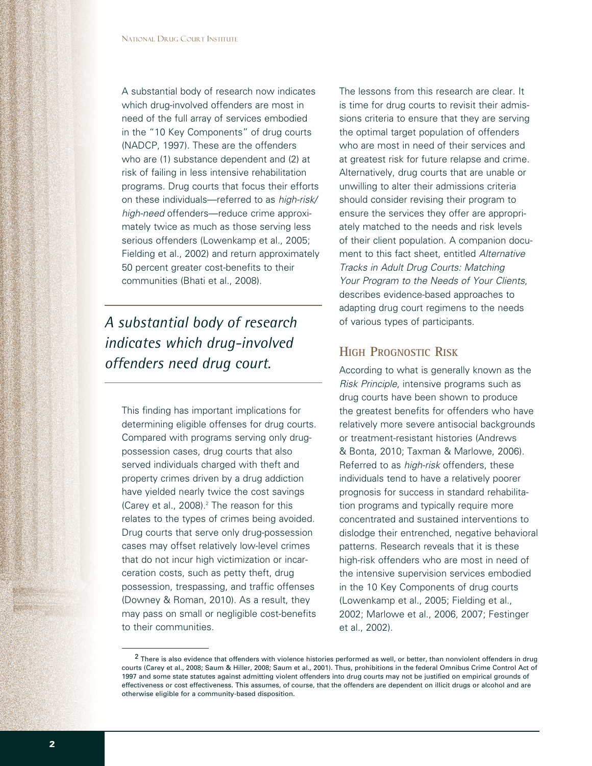A substantial body of research now indicates which drug-involved offenders are most in need of the full array of services embodied in the "10 Key Components" of drug courts (NADCP, 1997). These are the offenders who are (1) substance dependent and (2) at risk of failing in less intensive rehabilitation programs. Drug courts that focus their efforts on these individuals—referred to as *high-risk/ high-need* offenders—reduce crime approximately twice as much as those serving less serious offenders (Lowenkamp et al., 2005; Fielding et al., 2002) and return approximately 50 percent greater cost-benefits to their communities (Bhati et al., 2008).

# *A substantial body of research indicates which drug-involved offenders need drug court.*

This finding has important implications for determining eligible offenses for drug courts. Compared with programs serving only drugpossession cases, drug courts that also served individuals charged with theft and property crimes driven by a drug addiction have yielded nearly twice the cost savings (Carey et al., 2008).<sup>2</sup> The reason for this relates to the types of crimes being avoided. Drug courts that serve only drug-possession cases may offset relatively low-level crimes that do not incur high victimization or incarceration costs, such as petty theft, drug possession, trespassing, and traffic offenses (Downey & Roman, 2010). As a result, they may pass on small or negligible cost-benefits to their communities.

The lessons from this research are clear. It is time for drug courts to revisit their admissions criteria to ensure that they are serving the optimal target population of offenders who are most in need of their services and at greatest risk for future relapse and crime. Alternatively, drug courts that are unable or unwilling to alter their admissions criteria should consider revising their program to ensure the services they offer are appropriately matched to the needs and risk levels of their client population. A companion document to this fact sheet, entitled *Alternative Tracks in Adult Drug Courts: Matching Your Program to the Needs of Your Clients*, describes evidence-based approaches to adapting drug court regimens to the needs of various types of participants.

## **HIGH PROGNOSTIC RISK**

According to what is generally known as the *Risk Principle*, intensive programs such as drug courts have been shown to produce the greatest benefits for offenders who have relatively more severe antisocial backgrounds or treatment-resistant histories (Andrews & Bonta, 2010; Taxman & Marlowe, 2006). Referred to as *high-risk* offenders, these individuals tend to have a relatively poorer prognosis for success in standard rehabilitation programs and typically require more concentrated and sustained interventions to dislodge their entrenched, negative behavioral patterns. Research reveals that it is these high-risk offenders who are most in need of the intensive supervision services embodied in the 10 Key Components of drug courts (Lowenkamp et al., 2005; Fielding et al., 2002; Marlowe et al., 2006, 2007; Festinger et al., 2002).

<sup>&</sup>lt;sup>2</sup> There is also evidence that offenders with violence histories performed as well, or better, than nonviolent offenders in drug courts (Carey et al., 2008; Saum & Hiller, 2008; Saum et al., 2001). Thus, prohibitions in the federal Omnibus Crime Control Act of 1997 and some state statutes against admitting violent offenders into drug courts may not be justified on empirical grounds of effectiveness or cost effectiveness. This assumes, of course, that the offenders are dependent on illicit drugs or alcohol and are otherwise eligible for a community-based disposition.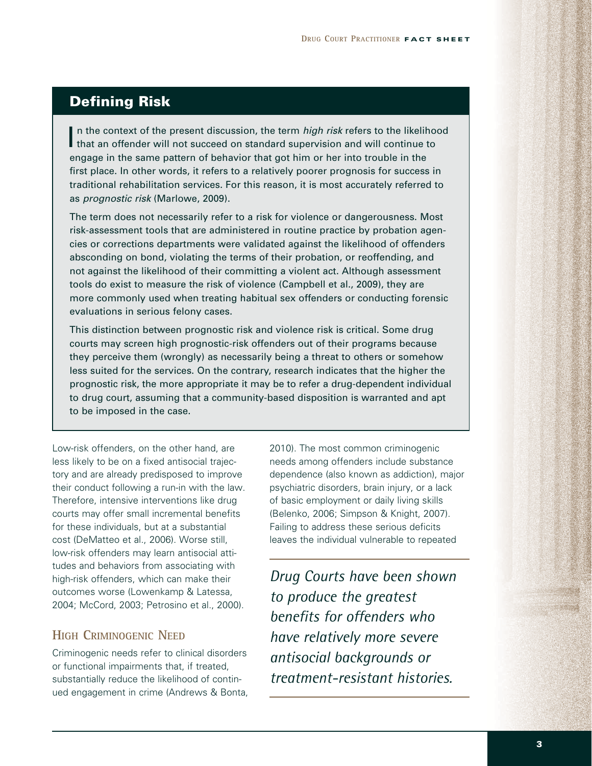## **Defining Risk**

In the context of the present discussion, the term *high risk* refers to the likelihood<br>that an offender will not succeed on standard supervision and will continue to engage in the same pattern of behavior that got him or her into trouble in the first place. In other words, it refers to a relatively poorer prognosis for success in traditional rehabilitation services. For this reason, it is most accurately referred to as *prognostic risk* (Marlowe, 2009).

The term does not necessarily refer to a risk for violence or dangerousness. Most risk-assessment tools that are administered in routine practice by probation agencies or corrections departments were validated against the likelihood of offenders absconding on bond, violating the terms of their probation, or reoffending, and not against the likelihood of their committing a violent act. Although assessment tools do exist to measure the risk of violence (Campbell et al., 2009), they are more commonly used when treating habitual sex offenders or conducting forensic evaluations in serious felony cases.

This distinction between prognostic risk and violence risk is critical. Some drug courts may screen high prognostic-risk offenders out of their programs because they perceive them (wrongly) as necessarily being a threat to others or somehow less suited for the services. On the contrary, research indicates that the higher the prognostic risk, the more appropriate it may be to refer a drug-dependent individual to drug court, assuming that a community-based disposition is warranted and apt to be imposed in the case.

Low-risk offenders, on the other hand, are less likely to be on a fixed antisocial trajectory and are already predisposed to improve their conduct following a run-in with the law. Therefore, intensive interventions like drug courts may offer small incremental benefits for these individuals, but at a substantial cost (DeMatteo et al., 2006). Worse still, low-risk offenders may learn antisocial attitudes and behaviors from associating with high-risk offenders, which can make their outcomes worse (Lowenkamp & Latessa, 2004; McCord, 2003; Petrosino et al., 2000).

#### **HIGH CRIMINOGENIC NEED**

Criminogenic needs refer to clinical disorders or functional impairments that, if treated, substantially reduce the likelihood of continued engagement in crime (Andrews & Bonta, 2010). The most common criminogenic needs among offenders include substance dependence (also known as addiction), major psychiatric disorders, brain injury, or a lack of basic employment or daily living skills (Belenko, 2006; Simpson & Knight, 2007). Failing to address these serious deficits leaves the individual vulnerable to repeated

*Drug Courts have been shown to produce the greatest benefits for offenders who have relatively more severe antisocial backgrounds or treatment-resistant histories.*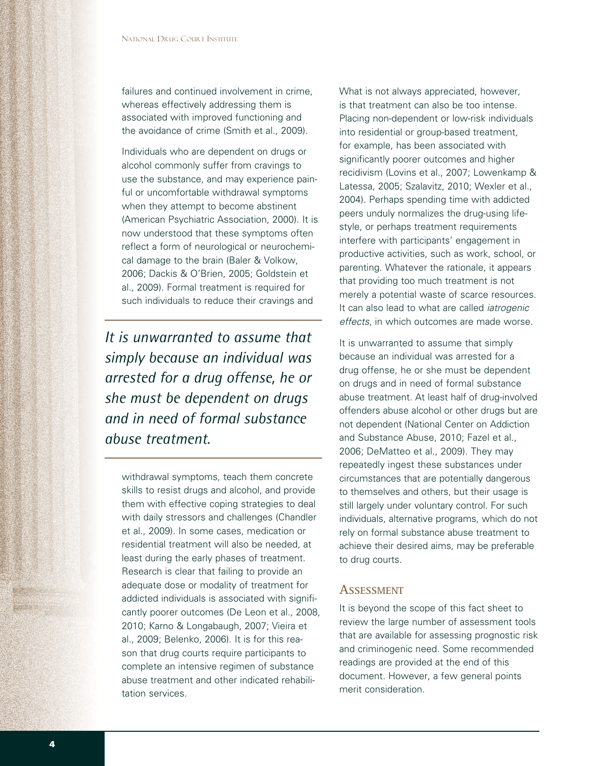failures and continued involvement in crime, whereas effectively addressing them is associated with improved functioning and the avoidance of crime (Smith et al., 2009).

Individuals who are dependent on drugs or alcohol commonly suffer from cravings to use the substance, and may experience painful or uncomfortable withdrawal symptoms when they attempt to become abstinent (American Psychiatric Association, 2000). It is now understood that these symptoms often reflect a form of neurological or neurochemical damage to the brain (Baler & Volkow, 2006; Dackis & O'Brien, 2005; Goldstein et al., 2009). Formal treatment is required for such individuals to reduce their cravings and

*It is unwarranted to assume that simply because an individual was arrested for a drug offense, he or she must be dependent on drugs and in need of formal substance abuse treatment.*

withdrawal symptoms, teach them concrete skills to resist drugs and alcohol, and provide them with effective coping strategies to deal with daily stressors and challenges (Chandler et al., 2009). In some cases, medication or residential treatment will also be needed, at least during the early phases of treatment. Research is clear that failing to provide an adequate dose or modality of treatment for addicted individuals is associated with significantly poorer outcomes (De Leon et al., 2008, 2010; Karno & Longabaugh, 2007; Vieira et al., 2009; Belenko, 2006). It is for this reason that drug courts require participants to complete an intensive regimen of substance abuse treatment and other indicated rehabilitation services.

What is not always appreciated, however, is that treatment can also be too intense. Placing non-dependent or low-risk individuals into residential or group-based treatment, for example, has been associated with significantly poorer outcomes and higher recidivism (Lovins et al., 2007; Lowenkamp & Latessa, 2005; Szalavitz, 2010; Wexler et al., 2004). Perhaps spending time with addicted peers unduly normalizes the drug-using lifestyle, or perhaps treatment requirements interfere with participants' engagement in productive activities, such as work, school, or parenting. Whatever the rationale, it appears that providing too much treatment is not merely a potential waste of scarce resources. It can also lead to what are called *iatrogenic effects*, in which outcomes are made worse.

It is unwarranted to assume that simply because an individual was arrested for a drug offense, he or she must be dependent on drugs and in need of formal substance abuse treatment. At least half of drug-involved offenders abuse alcohol or other drugs but are not dependent (National Center on Addiction and Substance Abuse, 2010; Fazel et al., 2006; DeMatteo et al., 2009). They may repeatedly ingest these substances under circumstances that are potentially dangerous to themselves and others, but their usage is still largely under voluntary control. For such individuals, alternative programs, which do not rely on formal substance abuse treatment to achieve their desired aims, may be preferable to drug courts.

#### **ASSESSMENT**

It is beyond the scope of this fact sheet to review the large number of assessment tools that are available for assessing prognostic risk and criminogenic need. Some recommended readings are provided at the end of this document. However, a few general points merit consideration.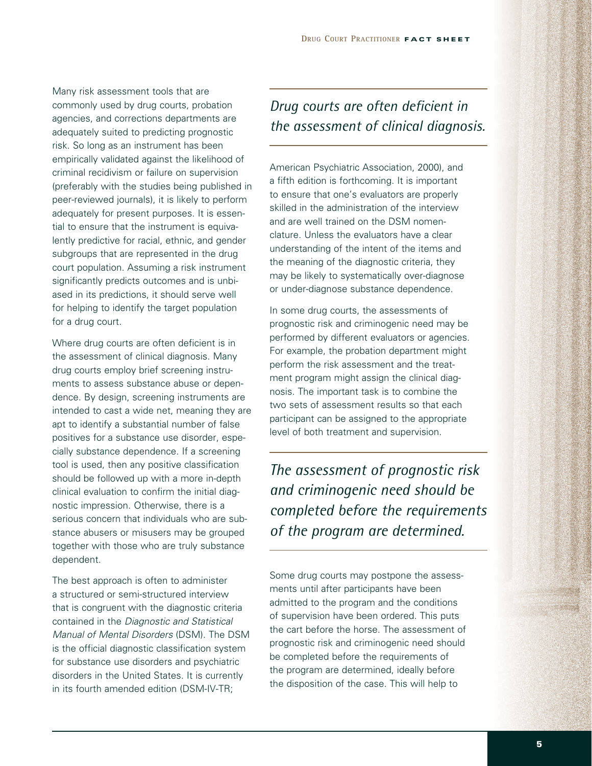Many risk assessment tools that are commonly used by drug courts, probation agencies, and corrections departments are adequately suited to predicting prognostic risk. So long as an instrument has been empirically validated against the likelihood of criminal recidivism or failure on supervision (preferably with the studies being published in peer-reviewed journals), it is likely to perform adequately for present purposes. It is essential to ensure that the instrument is equivalently predictive for racial, ethnic, and gender subgroups that are represented in the drug court population. Assuming a risk instrument significantly predicts outcomes and is unbiased in its predictions, it should serve well for helping to identify the target population for a drug court.

Where drug courts are often deficient is in the assessment of clinical diagnosis. Many drug courts employ brief screening instruments to assess substance abuse or dependence. By design, screening instruments are intended to cast a wide net, meaning they are apt to identify a substantial number of false positives for a substance use disorder, especially substance dependence. If a screening tool is used, then any positive classification should be followed up with a more in-depth clinical evaluation to confirm the initial diagnostic impression. Otherwise, there is a serious concern that individuals who are substance abusers or misusers may be grouped together with those who are truly substance dependent.

The best approach is often to administer a structured or semi-structured interview that is congruent with the diagnostic criteria contained in the *Diagnostic and Statistical Manual of Mental Disorders* (DSM). The DSM is the official diagnostic classification system for substance use disorders and psychiatric disorders in the United States. It is currently in its fourth amended edition (DSM-IV-TR;

## *Drug courts are often deficient in the assessment of clinical diagnosis.*

American Psychiatric Association, 2000), and a fifth edition is forthcoming. It is important to ensure that one's evaluators are properly skilled in the administration of the interview and are well trained on the DSM nomenclature. Unless the evaluators have a clear understanding of the intent of the items and the meaning of the diagnostic criteria, they may be likely to systematically over-diagnose or under-diagnose substance dependence.

In some drug courts, the assessments of prognostic risk and criminogenic need may be performed by different evaluators or agencies. For example, the probation department might perform the risk assessment and the treatment program might assign the clinical diagnosis. The important task is to combine the two sets of assessment results so that each participant can be assigned to the appropriate level of both treatment and supervision.

*The assessment of prognostic risk and criminogenic need should be completed before the requirements of the program are determined.*

Some drug courts may postpone the assessments until after participants have been admitted to the program and the conditions of supervision have been ordered. This puts the cart before the horse. The assessment of prognostic risk and criminogenic need should be completed before the requirements of the program are determined, ideally before the disposition of the case. This will help to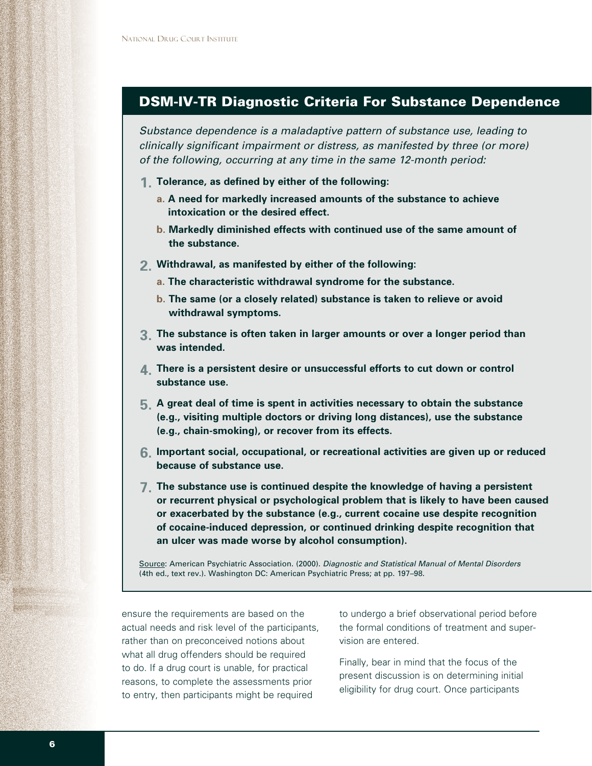## **DSM-IV-TR Diagnostic Criteria For Substance Dependence**

*Substance dependence is a maladaptive pattern of substance use, leading to clinically significant impairment or distress, as manifested by three (or more) of the following, occurring at any time in the same 12-month period:*

- **Tolerance, as defined by either of the following: 1.**
	- **a. A need for markedly increased amounts of the substance to achieve intoxication or the desired effect.**
	- **b. Markedly diminished effects with continued use of the same amount of the substance.**
- **Withdrawal, as manifested by either of the following: 2.**
	- **a. The characteristic withdrawal syndrome for the substance.**
	- **b. The same (or a closely related) substance is taken to relieve or avoid withdrawal symptoms.**
- **The substance is often taken in larger amounts or over a longer period than 3. was intended.**
- **There is a persistent desire or unsuccessful efforts to cut down or control 4. substance use.**
- **A great deal of time is spent in activities necessary to obtain the substance 5. (e.g., visiting multiple doctors or driving long distances), use the substance (e.g., chain-smoking), or recover from its effects.**
- **Important social, occupational, or recreational activities are given up or reduced 6. because of substance use.**
- **The substance use is continued despite the knowledge of having a persistent 7.or recurrent physical or psychological problem that is likely to have been caused or exacerbated by the substance (e.g., current cocaine use despite recognition of cocaine-induced depression, or continued drinking despite recognition that an ulcer was made worse by alcohol consumption).**

Source: American Psychiatric Association. (2000). *Diagnostic and Statistical Manual of Mental Disorders* (4th ed., text rev.). Washington DC: American Psychiatric Press; at pp. 197–98.

ensure the requirements are based on the actual needs and risk level of the participants, rather than on preconceived notions about what all drug offenders should be required to do. If a drug court is unable, for practical reasons, to complete the assessments prior to entry, then participants might be required

to undergo a brief observational period before the formal conditions of treatment and supervision are entered.

Finally, bear in mind that the focus of the present discussion is on determining initial eligibility for drug court. Once participants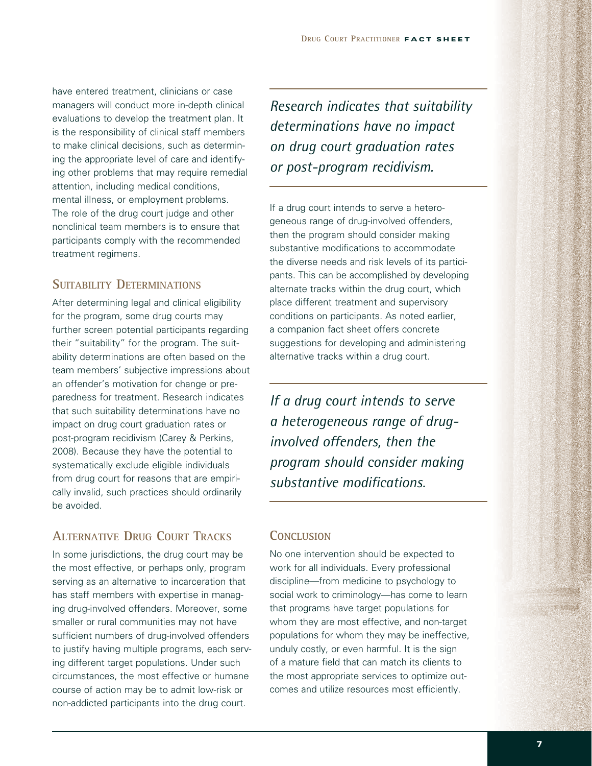have entered treatment, clinicians or case managers will conduct more in-depth clinical evaluations to develop the treatment plan. It is the responsibility of clinical staff members to make clinical decisions, such as determining the appropriate level of care and identifying other problems that may require remedial attention, including medical conditions, mental illness, or employment problems. The role of the drug court judge and other nonclinical team members is to ensure that participants comply with the recommended treatment regimens.

## **SUITABILITY DETERMINATIONS**

After determining legal and clinical eligibility for the program, some drug courts may further screen potential participants regarding their "suitability" for the program. The suitability determinations are often based on the team members' subjective impressions about an offender's motivation for change or preparedness for treatment. Research indicates that such suitability determinations have no impact on drug court graduation rates or post-program recidivism (Carey & Perkins, 2008). Because they have the potential to systematically exclude eligible individuals from drug court for reasons that are empirically invalid, such practices should ordinarily be avoided.

## **ALTERNATIVE DRUG COURT TRACKS**

In some jurisdictions, the drug court may be the most effective, or perhaps only, program serving as an alternative to incarceration that has staff members with expertise in managing drug-involved offenders. Moreover, some smaller or rural communities may not have sufficient numbers of drug-involved offenders to justify having multiple programs, each serving different target populations. Under such circumstances, the most effective or humane course of action may be to admit low-risk or non-addicted participants into the drug court.

*Research indicates that suitability determinations have no impact on drug court graduation rates or post-program recidivism.*

If a drug court intends to serve a heterogeneous range of drug-involved offenders, then the program should consider making substantive modifications to accommodate the diverse needs and risk levels of its participants. This can be accomplished by developing alternate tracks within the drug court, which place different treatment and supervisory conditions on participants. As noted earlier, a companion fact sheet offers concrete suggestions for developing and administering alternative tracks within a drug court.

*If a drug court intends to serve a heterogeneous range of druginvolved offenders, then the program should consider making substantive modifications.*

#### **CONCLUSION**

No one intervention should be expected to work for all individuals. Every professional discipline—from medicine to psychology to social work to criminology—has come to learn that programs have target populations for whom they are most effective, and non-target populations for whom they may be ineffective, unduly costly, or even harmful. It is the sign of a mature field that can match its clients to the most appropriate services to optimize outcomes and utilize resources most efficiently.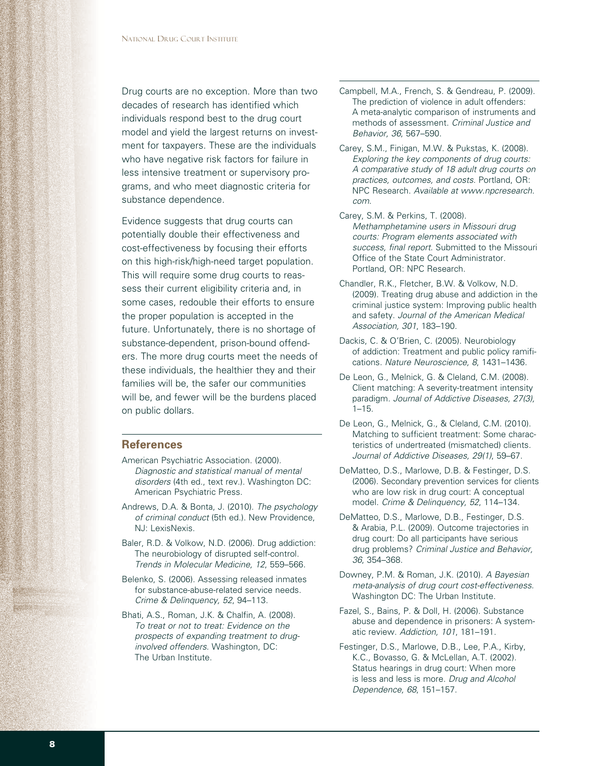Drug courts are no exception. More than two decades of research has identified which individuals respond best to the drug court model and yield the largest returns on investment for taxpayers. These are the individuals who have negative risk factors for failure in less intensive treatment or supervisory programs, and who meet diagnostic criteria for substance dependence.

Evidence suggests that drug courts can potentially double their effectiveness and cost-effectiveness by focusing their efforts on this high-risk/high-need target population. This will require some drug courts to reassess their current eligibility criteria and, in some cases, redouble their efforts to ensure the proper population is accepted in the future. Unfortunately, there is no shortage of substance-dependent, prison-bound offenders. The more drug courts meet the needs of these individuals, the healthier they and their families will be, the safer our communities will be, and fewer will be the burdens placed on public dollars.

#### **References**

- American Psychiatric Association. (2000). *Diagnostic and statistical manual of mental disorders* (4th ed., text rev.). Washington DC: American Psychiatric Press.
- Andrews, D.A. & Bonta, J. (2010). *The psychology of criminal conduct* (5th ed.). New Providence, NJ: LexisNexis.
- Baler, R.D. & Volkow, N.D. (2006). Drug addiction: The neurobiology of disrupted self-control. *Trends in Molecular Medicine, 12*, 559–566.
- Belenko, S. (2006). Assessing released inmates for substance-abuse-related service needs. *Crime & Delinquency, 52*, 94–113.
- Bhati, A.S., Roman, J.K. & Chalfin, A. (2008). *To treat or not to treat: Evidence on the prospects of expanding treatment to druginvolved offenders*. Washington, DC: The Urban Institute.
- Campbell, M.A., French, S. & Gendreau, P. (2009). The prediction of violence in adult offenders: A meta-analytic comparison of instruments and methods of assessment. *Criminal Justice and Behavior, 36*, 567–590.
- Carey, S.M., Finigan, M.W. & Pukstas, K. (2008). *Exploring the key components of drug courts: A comparative study of 18 adult drug courts on practices, outcomes, and costs*. Portland, OR: NPC Research. *Available at www.npcresearch. com*.
- Carey, S.M. & Perkins, T. (2008). *Methamphetamine users in Missouri drug courts: Program elements associated with success, final report*. Submitted to the Missouri Office of the State Court Administrator. Portland, OR: NPC Research.
- Chandler, R.K., Fletcher, B.W. & Volkow, N.D. (2009). Treating drug abuse and addiction in the criminal justice system: Improving public health and safety. *Journal of the American Medical Association, 301*, 183–190.
- Dackis, C. & O'Brien, C. (2005). Neurobiology of addiction: Treatment and public policy ramifications. *Nature Neuroscience, 8*, 1431–1436.
- De Leon, G., Melnick, G. & Cleland, C.M. (2008). Client matching: A severity-treatment intensity paradigm. *Journal of Addictive Diseases, 27(3),*  $1 - 15.$
- De Leon, G., Melnick, G., & Cleland, C.M. (2010). Matching to sufficient treatment: Some characteristics of undertreated (mismatched) clients. *Journal of Addictive Diseases, 29(1)*, 59–67.
- DeMatteo, D.S., Marlowe, D.B. & Festinger, D.S. (2006). Secondary prevention services for clients who are low risk in drug court: A conceptual model. *Crime & Delinquency, 52*, 114–134.
- DeMatteo, D.S., Marlowe, D.B., Festinger, D.S. & Arabia, P.L. (2009). Outcome trajectories in drug court: Do all participants have serious drug problems? *Criminal Justice and Behavior, 36*, 354–368.
- Downey, P.M. & Roman, J.K. (2010). *A Bayesian meta-analysis of drug court cost-effectiveness*. Washington DC: The Urban Institute.
- Fazel, S., Bains, P. & Doll, H. (2006). Substance abuse and dependence in prisoners: A systematic review. *Addiction, 101*, 181–191.
- Festinger, D.S., Marlowe, D.B., Lee, P.A., Kirby, K.C., Bovasso, G. & McLellan, A.T. (2002). Status hearings in drug court: When more is less and less is more. *Drug and Alcohol Dependence, 68*, 151–157.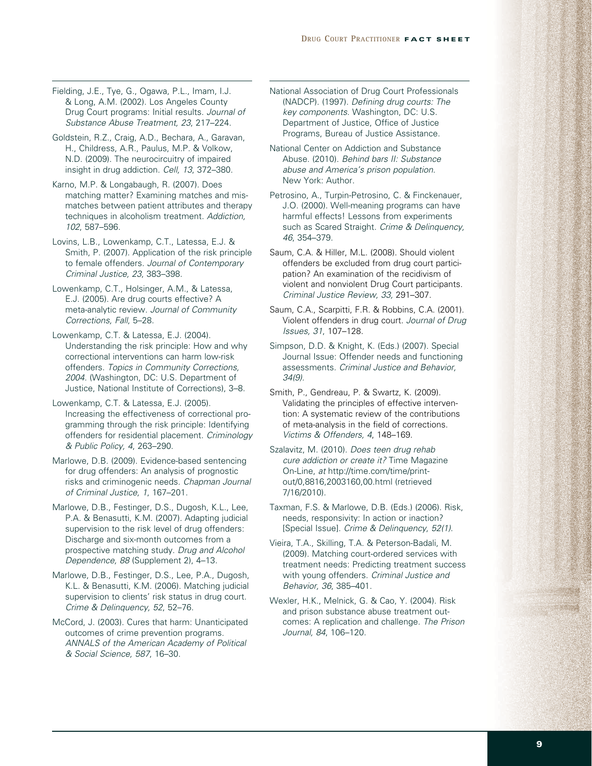Fielding, J.E., Tye, G., Ogawa, P.L., Imam, I.J. & Long, A.M. (2002). Los Angeles County Drug Court programs: Initial results. *Journal of Substance Abuse Treatment, 23*, 217–224.

Goldstein, R.Z., Craig, A.D., Bechara, A., Garavan, H., Childress, A.R., Paulus, M.P. & Volkow, N.D. (2009). The neurocircuitry of impaired insight in drug addiction. *Cell, 13*, 372–380.

Karno, M.P. & Longabaugh, R. (2007). Does matching matter? Examining matches and mismatches between patient attributes and therapy techniques in alcoholism treatment. *Addiction, 102*, 587–596.

Lovins, L.B., Lowenkamp, C.T., Latessa, E.J. & Smith, P. (2007). Application of the risk principle to female offenders. *Journal of Contemporary Criminal Justice, 23*, 383–398.

Lowenkamp, C.T., Holsinger, A.M., & Latessa, E.J. (2005). Are drug courts effective? A meta-analytic review. *Journal of Community Corrections, Fall*, 5–28.

Lowenkamp, C.T. & Latessa, E.J. (2004). Understanding the risk principle: How and why correctional interventions can harm low-risk offenders. *Topics in Community Corrections, 2004.* (Washington, DC: U.S. Department of Justice, National Institute of Corrections), 3–8.

Lowenkamp, C.T. & Latessa, E.J. (2005). Increasing the effectiveness of correctional programming through the risk principle: Identifying offenders for residential placement. *Criminology & Public Policy, 4*, 263–290.

Marlowe, D.B. (2009). Evidence-based sentencing for drug offenders: An analysis of prognostic risks and criminogenic needs. *Chapman Journal of Criminal Justice, 1*, 167–201.

Marlowe, D.B., Festinger, D.S., Dugosh, K.L., Lee, P.A. & Benasutti, K.M. (2007). Adapting judicial supervision to the risk level of drug offenders: Discharge and six-month outcomes from a prospective matching study. *Drug and Alcohol Dependence, 88* (Supplement 2), 4–13.

Marlowe, D.B., Festinger, D.S., Lee, P.A., Dugosh, K.L. & Benasutti, K.M. (2006). Matching judicial supervision to clients' risk status in drug court. *Crime & Delinquency, 52*, 52–76.

McCord, J. (2003). Cures that harm: Unanticipated outcomes of crime prevention programs. *ANNALS of the American Academy of Political & Social Science, 587*, 16–30.

National Association of Drug Court Professionals (NADCP). (1997). *Defining drug courts: The key components*. Washington, DC: U.S. Department of Justice, Office of Justice Programs, Bureau of Justice Assistance.

National Center on Addiction and Substance Abuse. (2010). *Behind bars II: Substance abuse and America's prison population*. New York: Author.

Petrosino, A., Turpin-Petrosino, C. & Finckenauer, J.O. (2000). Well-meaning programs can have harmful effects! Lessons from experiments such as Scared Straight. *Crime & Delinquency, 46*, 354–379.

Saum, C.A. & Hiller, M.L. (2008). Should violent offenders be excluded from drug court participation? An examination of the recidivism of violent and nonviolent Drug Court participants. *Criminal Justice Review, 33,* 291–307.

Saum, C.A., Scarpitti, F.R. & Robbins, C.A. (2001). Violent offenders in drug court. *Journal of Drug Issues, 31*, 107–128.

Simpson, D.D. & Knight, K. (Eds.) (2007). Special Journal Issue: Offender needs and functioning assessments. *Criminal Justice and Behavior, 34(9).*

Smith, P., Gendreau, P. & Swartz, K. (2009). Validating the principles of effective intervention: A systematic review of the contributions of meta-analysis in the field of corrections. *Victims & Offenders, 4*, 148–169.

Szalavitz, M. (2010). *Does teen drug rehab cure addiction or create it?* Time Magazine On-Line, *at* http://time.com/time/printout/0,8816,2003160,00.html (retrieved 7/16/2010).

Taxman, F.S. & Marlowe, D.B. (Eds.) (2006). Risk, needs, responsivity: In action or inaction? [Special Issue]. *Crime & Delinquency, 52(1)*.

Vieira, T.A., Skilling, T.A. & Peterson-Badali, M. (2009). Matching court-ordered services with treatment needs: Predicting treatment success with young offenders. *Criminal Justice and Behavior, 36*, 385–401.

Wexler, H.K., Melnick, G. & Cao, Y. (2004). Risk and prison substance abuse treatment outcomes: A replication and challenge. *The Prison Journal, 84*, 106–120.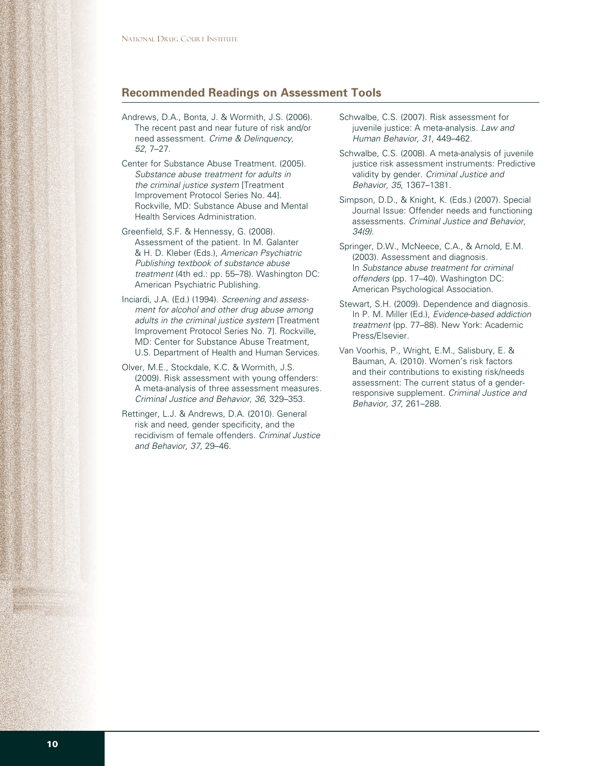#### **Recommended Readings on Assessment Tools**

- Andrews, D.A., Bonta, J. & Wormith, J.S. (2006). The recent past and near future of risk and/or need assessment. *Crime & Delinquency, 52*, 7–27.
- Center for Substance Abuse Treatment. (2005). *Substance abuse treatment for adults in the criminal justice system* [Treatment Improvement Protocol Series No. 44]. Rockville, MD: Substance Abuse and Mental Health Services Administration.
- Greenfield, S.F. & Hennessy, G. (2008). Assessment of the patient. In M. Galanter & H. D. Kleber (Eds.), *American Psychiatric Publishing textbook of substance abuse treatment* (4th ed.: pp. 55–78). Washington DC: American Psychiatric Publishing.
- Inciardi, J.A. (Ed.) (1994). *Screening and assessment for alcohol and other drug abuse among adults in the criminal justice system* [Treatment Improvement Protocol Series No. 7]. Rockville, MD: Center for Substance Abuse Treatment, U.S. Department of Health and Human Services.
- Olver, M.E., Stockdale, K.C. & Wormith, J.S. (2009). Risk assessment with young offenders: A meta-analysis of three assessment measures. *Criminal Justice and Behavior, 36*, 329–353.
- Rettinger, L.J. & Andrews, D.A. (2010). General risk and need, gender specificity, and the recidivism of female offenders. *Criminal Justice and Behavior, 37*, 29–46.
- Schwalbe, C.S. (2007). Risk assessment for juvenile justice: A meta-analysis. *Law and Human Behavior, 31*, 449–462.
- Schwalbe, C.S. (2008). A meta-analysis of juvenile justice risk assessment instruments: Predictive validity by gender. *Criminal Justice and Behavior, 35*, 1367–1381.
- Simpson, D.D., & Knight, K. (Eds.) (2007). Special Journal Issue: Offender needs and functioning assessments. *Criminal Justice and Behavior, 34(9).*
- Springer, D.W., McNeece, C.A., & Arnold, E.M. (2003). Assessment and diagnosis. In *Substance abuse treatment for criminal offenders* (pp. 17–40). Washington DC: American Psychological Association.
- Stewart, S.H. (2009). Dependence and diagnosis. In P. M. Miller (Ed.), *Evidence-based addiction treatment* (pp. 77–88). New York: Academic Press/Elsevier.
- Van Voorhis, P., Wright, E.M., Salisbury, E. & Bauman, A. (2010). Women's risk factors and their contributions to existing risk/needs assessment: The current status of a genderresponsive supplement. *Criminal Justice and Behavior, 37*, 261–288.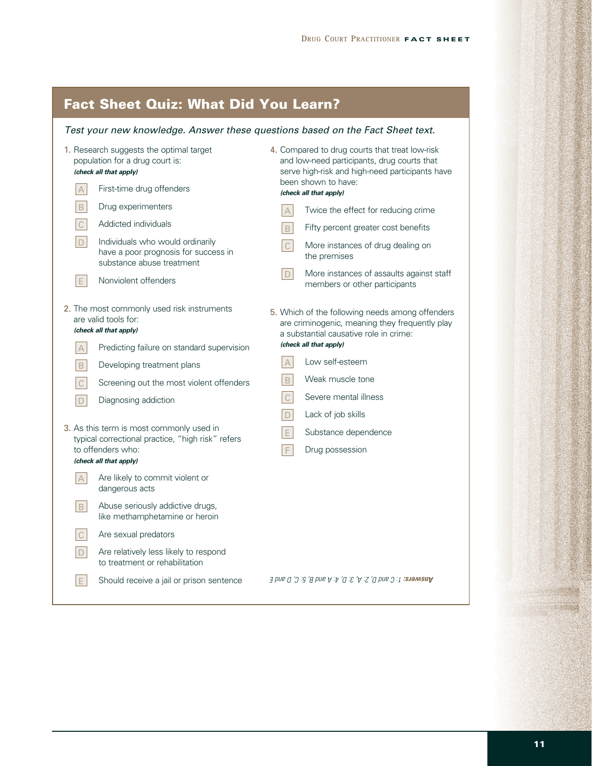# **Fact Sheet Quiz: What Did You Learn?**

### *Test your new knowledge. Answer these questions based on the Fact Sheet text.*

| 1. Research suggests the optimal target<br>population for a drug court is:<br>(check all that apply)<br>First-time drug offenders<br>$\boldsymbol{\mathsf{A}}$ |                                                                                                       | 4. Compared to drug courts that treat low-risk<br>and low-need participants, drug courts that<br>serve high-risk and high-need participants have<br>been shown to have: |                                                                           |
|----------------------------------------------------------------------------------------------------------------------------------------------------------------|-------------------------------------------------------------------------------------------------------|-------------------------------------------------------------------------------------------------------------------------------------------------------------------------|---------------------------------------------------------------------------|
|                                                                                                                                                                |                                                                                                       |                                                                                                                                                                         | (check all that apply)                                                    |
| $\,$ B                                                                                                                                                         | Drug experimenters                                                                                    | $\overline{A}$                                                                                                                                                          | Twice the effect for reducing crime                                       |
| $\mathsf{C}$                                                                                                                                                   | Addicted individuals                                                                                  | $\mathsf{B}$                                                                                                                                                            | Fifty percent greater cost benefits                                       |
| $\mathsf{D}$                                                                                                                                                   | Individuals who would ordinarily<br>have a poor prognosis for success in<br>substance abuse treatment | C                                                                                                                                                                       | More instances of drug dealing on<br>the premises                         |
| $\mathsf E$                                                                                                                                                    | Nonviolent offenders                                                                                  | D                                                                                                                                                                       | More instances of assaults against staff<br>members or other participants |
| 2. The most commonly used risk instruments<br>are valid tools for:                                                                                             |                                                                                                       | 5. Which of the following needs among offenders<br>are criminogenic, meaning they frequently play<br>a substantial causative role in crime:                             |                                                                           |
| (check all that apply)                                                                                                                                         |                                                                                                       |                                                                                                                                                                         |                                                                           |
| $\overline{A}$                                                                                                                                                 | Predicting failure on standard supervision                                                            |                                                                                                                                                                         | (check all that apply)                                                    |
| $\,$ B                                                                                                                                                         | Developing treatment plans                                                                            | $\triangle$                                                                                                                                                             | Low self-esteem                                                           |
| $\mathsf C$                                                                                                                                                    | Screening out the most violent offenders                                                              | B                                                                                                                                                                       | Weak muscle tone                                                          |
| $\mathsf D$                                                                                                                                                    | Diagnosing addiction                                                                                  | $\mathsf{C}$                                                                                                                                                            | Severe mental illness                                                     |
|                                                                                                                                                                |                                                                                                       | $\Box$                                                                                                                                                                  | Lack of job skills                                                        |
| 3. As this term is most commonly used in<br>typical correctional practice, "high risk" refers<br>to offenders who:<br>(check all that apply)                   |                                                                                                       | $\mathsf{E}$                                                                                                                                                            | Substance dependence                                                      |
|                                                                                                                                                                |                                                                                                       | $\mathsf F$                                                                                                                                                             | Drug possession                                                           |
| $\mathsf{A}$                                                                                                                                                   | Are likely to commit violent or<br>dangerous acts                                                     |                                                                                                                                                                         |                                                                           |
| $\, {\sf B}$                                                                                                                                                   | Abuse seriously addictive drugs,<br>like methamphetamine or heroin                                    |                                                                                                                                                                         |                                                                           |
| $\mathsf C$                                                                                                                                                    | Are sexual predators                                                                                  |                                                                                                                                                                         |                                                                           |
| $\mathsf D$                                                                                                                                                    | Are relatively less likely to respond<br>to treatment or rehabilitation                               |                                                                                                                                                                         |                                                                           |
| $\mathsf E$                                                                                                                                                    | Should receive a jail or prison sentence                                                              |                                                                                                                                                                         | <b>Answers:</b> 1: C and D, 2: A, 3: D, 4: A and B, 5: C, D and E         |